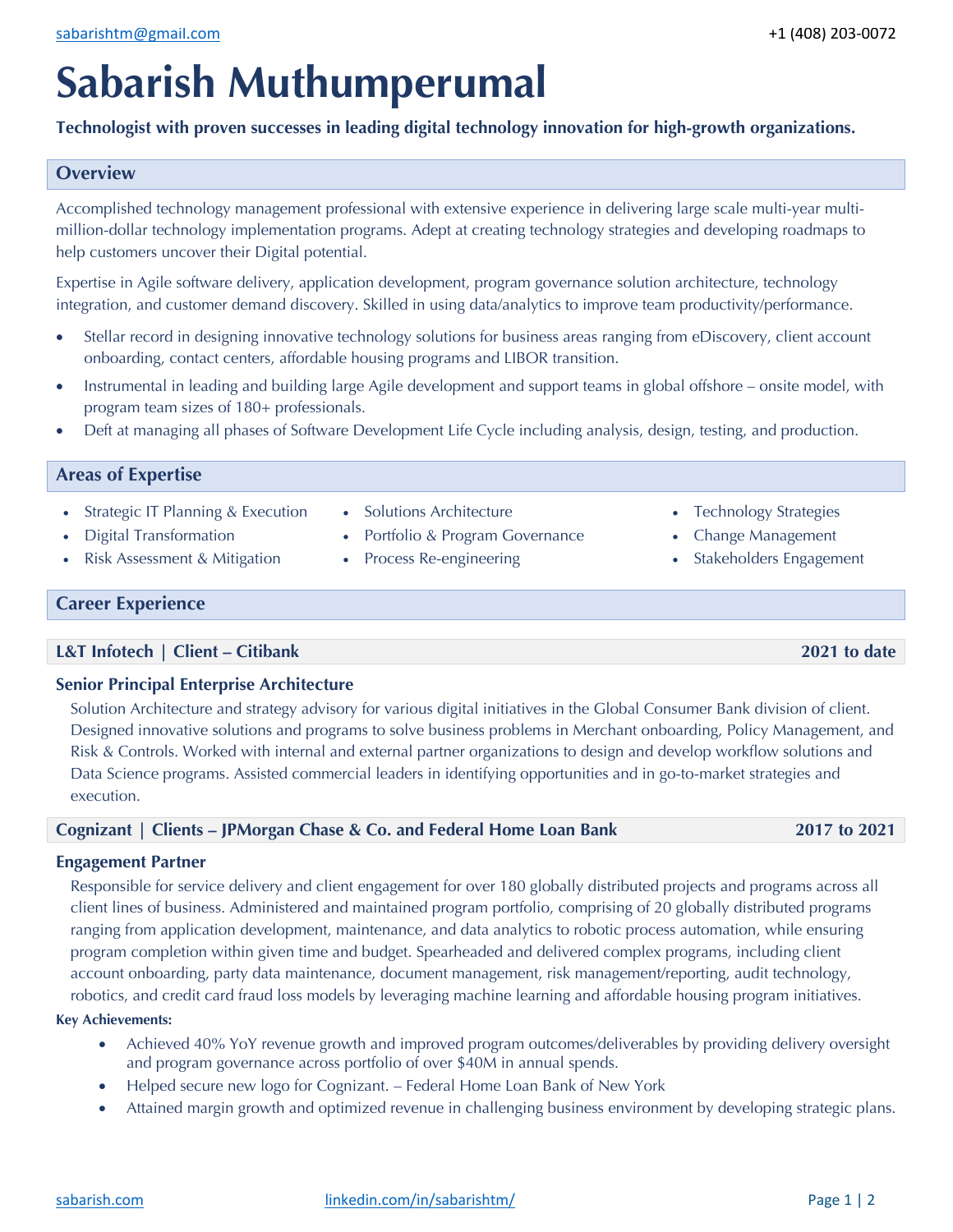# **Sabarish Muthumperumal**

**Technologist with proven successes in leading digital technology innovation for high-growth organizations.**

# **Overview**

Accomplished technology management professional with extensive experience in delivering large scale multi-year multimillion-dollar technology implementation programs. Adept at creating technology strategies and developing roadmaps to help customers uncover their Digital potential.

Expertise in Agile software delivery, application development, program governance solution architecture, technology integration, and customer demand discovery. Skilled in using data/analytics to improve team productivity/performance.

- Stellar record in designing innovative technology solutions for business areas ranging from eDiscovery, client account onboarding, contact centers, affordable housing programs and LIBOR transition.
- Instrumental in leading and building large Agile development and support teams in global offshore onsite model, with program team sizes of 180+ professionals.
- Deft at managing all phases of Software Development Life Cycle including analysis, design, testing, and production.

# **Areas of Expertise**

- Strategic IT Planning & Execution
- Digital Transformation
- Risk Assessment & Mitigation
- Solutions Architecture
- Portfolio & Program Governance
- Process Re-engineering
- Technology Strategies
- Change Management
- Stakeholders Engagement

# **Career Experience**

# **L&T Infotech | Client – Citibank 2021 to date**

# **Senior Principal Enterprise Architecture**

Solution Architecture and strategy advisory for various digital initiatives in the Global Consumer Bank division of client. Designed innovative solutions and programs to solve business problems in Merchant onboarding, Policy Management, and Risk & Controls. Worked with internal and external partner organizations to design and develop workflow solutions and Data Science programs. Assisted commercial leaders in identifying opportunities and in go-to-market strategies and execution.

# **Cognizant | Clients – JPMorgan Chase & Co. and Federal Home Loan Bank 2017 to 2021**

# **Engagement Partner**

Responsible for service delivery and client engagement for over 180 globally distributed projects and programs across all client lines of business. Administered and maintained program portfolio, comprising of 20 globally distributed programs ranging from application development, maintenance, and data analytics to robotic process automation, while ensuring program completion within given time and budget. Spearheaded and delivered complex programs, including client account onboarding, party data maintenance, document management, risk management/reporting, audit technology, robotics, and credit card fraud loss models by leveraging machine learning and affordable housing program initiatives.

#### **Key Achievements:**

- Achieved 40% YoY revenue growth and improved program outcomes/deliverables by providing delivery oversight and program governance across portfolio of over \$40M in annual spends.
- Helped secure new logo for Cognizant. Federal Home Loan Bank of New York
- Attained margin growth and optimized revenue in challenging business environment by developing strategic plans.